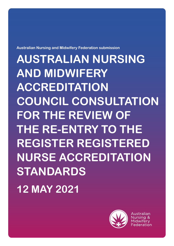**Australian Nursing and Midwifery Federation submission** 

**AUSTRALIAN NURSING AND MIDWIFERY ACCREDITATION COUNCIL CONSULTATION FOR THE REVIEW OF THE RE-ENTRY TO THE REGISTER REGISTERED NURSE ACCREDITATION STANDARDS 12 MAY 2021**



Australian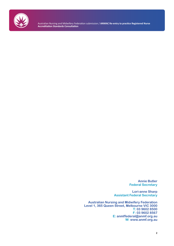

Australian Nursing and Midwifery Federation submission / **ANMAC Re-entry to practice Registered Nurse Accreditation Standards Consultation**

> **Annie Butler Federal Secretary**

**Lori-anne Sharp Assistant Federal Secretary**

**Australian Nursing and Midwifery Federation Level 1, 365 Queen Street, Melbourne VIC 3000 T: 03 9602 8500 F: 03 9602 8567 E: anmffederal@anmf.org.au W: www.anmf.org.au**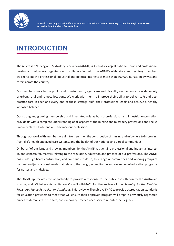

# **INTRODUCTION**

The Australian Nursing and Midwifery Federation (ANMF) is Australia's largest national union and professional nursing and midwifery organisation. In collaboration with the ANMF's eight state and territory branches, we represent the professional, industrial and political interests of more than 300,000 nurses, midwives and carers across the country.

Our members work in the public and private health, aged care and disability sectors across a wide variety of urban, rural and remote locations. We work with them to improve their ability to deliver safe and best practice care in each and every one of these settings, fulfil their professional goals and achieve a healthy work/life balance.

Our strong and growing membership and integrated role as both a professional and industrial organisation provide us with a complete understanding of all aspects of the nursing and midwifery professions and see us uniquely placed to defend and advance our professions.

Through our work with members we aim to strengthen the contribution of nursing and midwifery to improving Australia's health and aged care systems, and the health of our national and global communities.

On behalf of our large and growing membership, the ANMF has genuine professional and industrial interest in, and concern for, matters relating to the regulation, education and practice of our professions. The ANMF has made significant contribution, and continues to do so, to a range of committees and working groups at national and jurisdictional levels that relate to the design, accreditation and evaluation of education programs for nurses and midwives.

The ANMF appreciates the opportunity to provide a response to the public consultation by the Australian Nursing and Midwifery Accreditation Council (ANMAC) for the review of the *Re-entry to the Register Registered Nurse Accreditation Standards*. This review will enable ANMAC to provide accreditation standards for education providers to meet that will ensure their approved program will prepare previously registered nurses to demonstrate the safe, contemporary practice necessary to re-enter the Register.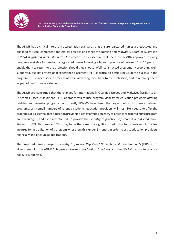

Australian Nursing and Midwifery Federation submission / **ANMAC Re-entry to practice Registered Nurse Accreditation Standards Consultation**

The ANMF has a critical interest in accreditation standards that ensure registered nurses are educated and qualified for safe, competent and ethical practice and meet the Nursing and Midwifery Board of Australia's (NMBA) *Registered nurse standards for practice*. It is essential that there are NMBA approved re-entry programs available for previously registered nurses following a lapse in practice of between 5 to 10 years to enable them to return to the profession should they choose. Well- constructed programs incorporating wellsupported, quality, professional experience placement (PEP) is critical to optimising student's success in the program. This is necessary in order to assist in attracting them back to the profession, and to retaining them as part of our future workforce.

The ANMF are concerned that the changes for Internationally Qualified Nurses and Midwives (IQNM) to an Outcomes Based Assessment (OBA) approach will reduce program viability for education providers offering bridging and re-entry programs concurrently. IQNM's have been the largest cohort in these combined programs. With small numbers of re-entry students, education providers will most likely cease to offer the programs. It is essential that education providers already offering an entry to practice registered nurse program are encouraged, and even incentivised, to provide the *Re-entry to practice Registered Nurse Accreditation Standards* (RTP-RN) program. This may be in the form of a significant reduction to, or waiving of, the fee incurred for accreditation of a program whose length is under 6 months in order to assist education providers financially and encourage applications.

The proposed name change to *Re-entry to practice Registered Nurse Accreditation Standards* (RTP-RN) to align them with the ANMAC *Registered Nurse Accreditation Standards* and the NMBA's return to practice policy is supported.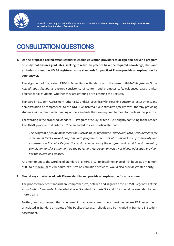

## **CONSULTATION QUESTIONS**

**1. Do the proposed accreditation standards enable education providers to design and deliver a program of study that ensures graduates, seeking to return to practice have the required knowledge, skills and attitudes to meet the NMBA registered nurse standards for practice? Please provide an explanation for your answer.**

The alignment of the revised RTP-RN Accreditation Standards with the current ANMAC *Registered Nurse Accreditation Standards* ensures consistency of content and promotes safe, evidenced-based clinical practice for all students, whether they are entering or re-entering the Register.

Standard 5 – Student Assessment: criteria 5.2 and 5.5, specifically link learning outcomes, assessments and demonstration of competence, to the NMBA *Registered nurse standards for practice*, thereby providing students with a clear understanding of the standards they are required to meet for professional practice.

The wording in the proposed Standard 3 – Program of Study: criteria 3.2 is slightly confusing to the reader. The ANMF propose that criteria 3.2 be amended to clearly articulate that:

*The program of study must meet the Australian Qualifications Framework (AQF) requirements for a minimum level 7 award program, with program content set at a similar level of complexity and expertise as a Bachelor Degree. Successful completion of the program will result in a statement of completion and/or attainment by the governing Australian university or higher education provider, not the award of a Degree.*

An amendment to the wording of Standard 3, criteria 3.12, to detail the range of PEP hours as a minimum of 80 to a maximum of 240 hours, exclusive of simulation activities, would also provide greater clarity.

#### **2. Should any criteria be added? Please identify and provide an explanation for your answer.**

The proposed revised standards are comprehensive, detailed and align with the ANMAC *Registered Nurse Accreditation Standards*. As detailed above, Standard 3 criteria 3.2 and 3.12 should be amended to read more clearly.

Further, we recommend the requirement that a registered nurse must undertake PEP assessment, articulated in Standard 1 – Safety of the Public, criteria 1.4, should also be included in Standard 5: Student Assessment.